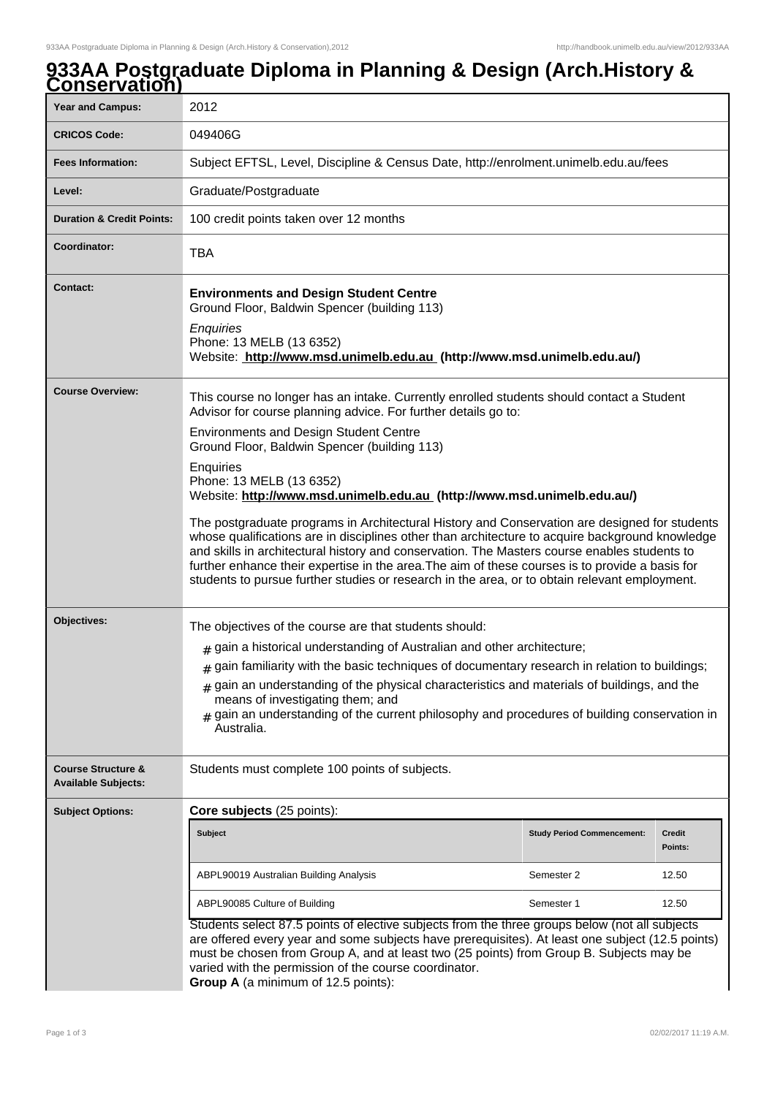## **933AA Postgraduate Diploma in Planning & Design (Arch.History & Conservation)**

| $\overline{v}$ iiju vuuviij                                 |                                                                                                                                                                                                                                                                                                                                                                                                                                                                                                                                                                                                                                                                                                                                                                                                                                                                                          |                                   |                   |
|-------------------------------------------------------------|------------------------------------------------------------------------------------------------------------------------------------------------------------------------------------------------------------------------------------------------------------------------------------------------------------------------------------------------------------------------------------------------------------------------------------------------------------------------------------------------------------------------------------------------------------------------------------------------------------------------------------------------------------------------------------------------------------------------------------------------------------------------------------------------------------------------------------------------------------------------------------------|-----------------------------------|-------------------|
| <b>Year and Campus:</b>                                     | 2012                                                                                                                                                                                                                                                                                                                                                                                                                                                                                                                                                                                                                                                                                                                                                                                                                                                                                     |                                   |                   |
| <b>CRICOS Code:</b>                                         | 049406G                                                                                                                                                                                                                                                                                                                                                                                                                                                                                                                                                                                                                                                                                                                                                                                                                                                                                  |                                   |                   |
| <b>Fees Information:</b>                                    | Subject EFTSL, Level, Discipline & Census Date, http://enrolment.unimelb.edu.au/fees                                                                                                                                                                                                                                                                                                                                                                                                                                                                                                                                                                                                                                                                                                                                                                                                     |                                   |                   |
| Level:                                                      | Graduate/Postgraduate                                                                                                                                                                                                                                                                                                                                                                                                                                                                                                                                                                                                                                                                                                                                                                                                                                                                    |                                   |                   |
| <b>Duration &amp; Credit Points:</b>                        | 100 credit points taken over 12 months                                                                                                                                                                                                                                                                                                                                                                                                                                                                                                                                                                                                                                                                                                                                                                                                                                                   |                                   |                   |
| Coordinator:                                                | <b>TBA</b>                                                                                                                                                                                                                                                                                                                                                                                                                                                                                                                                                                                                                                                                                                                                                                                                                                                                               |                                   |                   |
| <b>Contact:</b>                                             | <b>Environments and Design Student Centre</b><br>Ground Floor, Baldwin Spencer (building 113)<br>Enquiries<br>Phone: 13 MELB (13 6352)<br>Website: http://www.msd.unimelb.edu.au (http://www.msd.unimelb.edu.au/)                                                                                                                                                                                                                                                                                                                                                                                                                                                                                                                                                                                                                                                                        |                                   |                   |
| <b>Course Overview:</b>                                     | This course no longer has an intake. Currently enrolled students should contact a Student<br>Advisor for course planning advice. For further details go to:<br><b>Environments and Design Student Centre</b><br>Ground Floor, Baldwin Spencer (building 113)<br>Enquiries<br>Phone: 13 MELB (13 6352)<br>Website: http://www.msd.unimelb.edu.au (http://www.msd.unimelb.edu.au/)<br>The postgraduate programs in Architectural History and Conservation are designed for students<br>whose qualifications are in disciplines other than architecture to acquire background knowledge<br>and skills in architectural history and conservation. The Masters course enables students to<br>further enhance their expertise in the area. The aim of these courses is to provide a basis for<br>students to pursue further studies or research in the area, or to obtain relevant employment. |                                   |                   |
| Objectives:                                                 | The objectives of the course are that students should:<br>$_{\#}$ gain a historical understanding of Australian and other architecture;<br>$*$ gain familiarity with the basic techniques of documentary research in relation to buildings;<br>$*$ gain an understanding of the physical characteristics and materials of buildings, and the<br>means of investigating them; and<br>$#$ gain an understanding of the current philosophy and procedures of building conservation in<br>Australia.                                                                                                                                                                                                                                                                                                                                                                                         |                                   |                   |
| <b>Course Structure &amp;</b><br><b>Available Subjects:</b> | Students must complete 100 points of subjects.                                                                                                                                                                                                                                                                                                                                                                                                                                                                                                                                                                                                                                                                                                                                                                                                                                           |                                   |                   |
| <b>Subject Options:</b>                                     | Core subjects (25 points):                                                                                                                                                                                                                                                                                                                                                                                                                                                                                                                                                                                                                                                                                                                                                                                                                                                               |                                   |                   |
|                                                             | <b>Subject</b>                                                                                                                                                                                                                                                                                                                                                                                                                                                                                                                                                                                                                                                                                                                                                                                                                                                                           | <b>Study Period Commencement:</b> | Credit<br>Points: |
|                                                             | ABPL90019 Australian Building Analysis                                                                                                                                                                                                                                                                                                                                                                                                                                                                                                                                                                                                                                                                                                                                                                                                                                                   | Semester 2                        | 12.50             |
|                                                             | ABPL90085 Culture of Building                                                                                                                                                                                                                                                                                                                                                                                                                                                                                                                                                                                                                                                                                                                                                                                                                                                            | Semester 1                        | 12.50             |
|                                                             | Students select 87.5 points of elective subjects from the three groups below (not all subjects<br>are offered every year and some subjects have prerequisites). At least one subject (12.5 points)<br>must be chosen from Group A, and at least two (25 points) from Group B. Subjects may be<br>varied with the permission of the course coordinator.<br>Group A (a minimum of 12.5 points):                                                                                                                                                                                                                                                                                                                                                                                                                                                                                            |                                   |                   |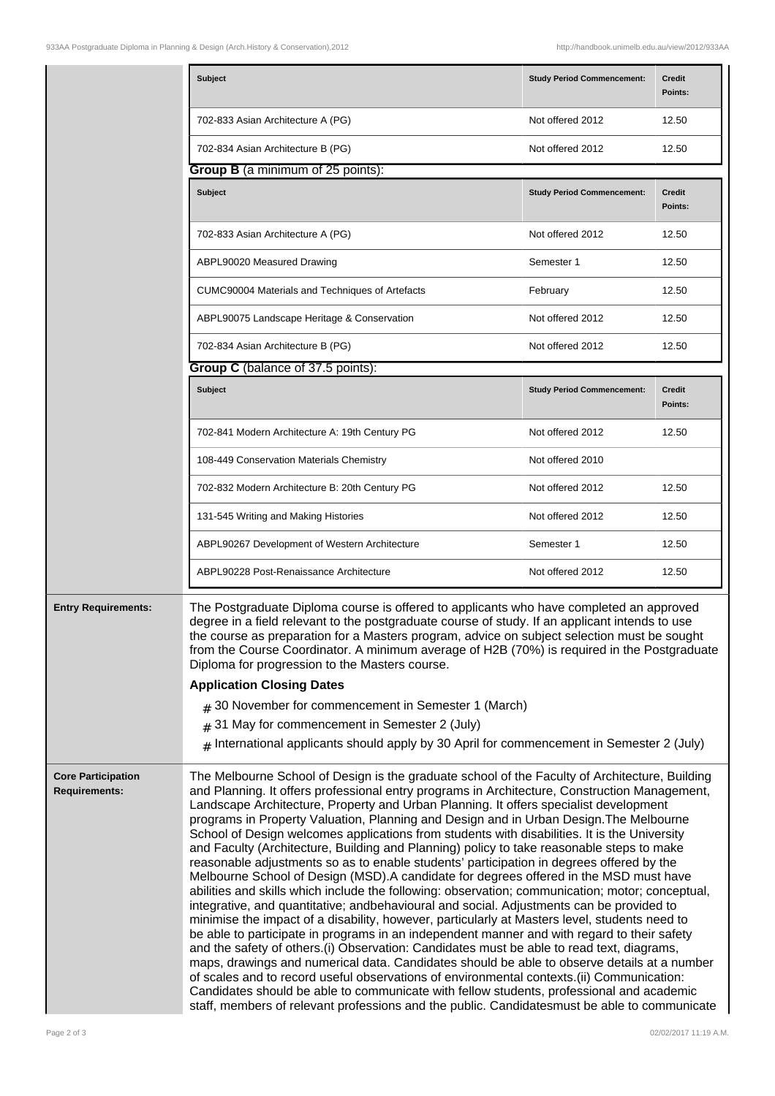|                                                   | <b>Subject</b>                                                                                                                                                                                                                                                                                                                                                                                                                                                                                                                                                                                                                                                                                                                                                                                                                                                                                                                                                                                                                                                                                                                                                                                                                                                                                                                                                                                                                                                                                                                                                                                                                                              | <b>Study Period Commencement:</b> | <b>Credit</b><br>Points: |
|---------------------------------------------------|-------------------------------------------------------------------------------------------------------------------------------------------------------------------------------------------------------------------------------------------------------------------------------------------------------------------------------------------------------------------------------------------------------------------------------------------------------------------------------------------------------------------------------------------------------------------------------------------------------------------------------------------------------------------------------------------------------------------------------------------------------------------------------------------------------------------------------------------------------------------------------------------------------------------------------------------------------------------------------------------------------------------------------------------------------------------------------------------------------------------------------------------------------------------------------------------------------------------------------------------------------------------------------------------------------------------------------------------------------------------------------------------------------------------------------------------------------------------------------------------------------------------------------------------------------------------------------------------------------------------------------------------------------------|-----------------------------------|--------------------------|
|                                                   | 702-833 Asian Architecture A (PG)                                                                                                                                                                                                                                                                                                                                                                                                                                                                                                                                                                                                                                                                                                                                                                                                                                                                                                                                                                                                                                                                                                                                                                                                                                                                                                                                                                                                                                                                                                                                                                                                                           | Not offered 2012                  | 12.50                    |
|                                                   | 702-834 Asian Architecture B (PG)                                                                                                                                                                                                                                                                                                                                                                                                                                                                                                                                                                                                                                                                                                                                                                                                                                                                                                                                                                                                                                                                                                                                                                                                                                                                                                                                                                                                                                                                                                                                                                                                                           | Not offered 2012                  | 12.50                    |
|                                                   | <b>Group B</b> (a minimum of 25 points):                                                                                                                                                                                                                                                                                                                                                                                                                                                                                                                                                                                                                                                                                                                                                                                                                                                                                                                                                                                                                                                                                                                                                                                                                                                                                                                                                                                                                                                                                                                                                                                                                    |                                   |                          |
|                                                   | <b>Subject</b>                                                                                                                                                                                                                                                                                                                                                                                                                                                                                                                                                                                                                                                                                                                                                                                                                                                                                                                                                                                                                                                                                                                                                                                                                                                                                                                                                                                                                                                                                                                                                                                                                                              | <b>Study Period Commencement:</b> | <b>Credit</b><br>Points: |
|                                                   | 702-833 Asian Architecture A (PG)                                                                                                                                                                                                                                                                                                                                                                                                                                                                                                                                                                                                                                                                                                                                                                                                                                                                                                                                                                                                                                                                                                                                                                                                                                                                                                                                                                                                                                                                                                                                                                                                                           | Not offered 2012                  | 12.50                    |
|                                                   | ABPL90020 Measured Drawing                                                                                                                                                                                                                                                                                                                                                                                                                                                                                                                                                                                                                                                                                                                                                                                                                                                                                                                                                                                                                                                                                                                                                                                                                                                                                                                                                                                                                                                                                                                                                                                                                                  | Semester 1                        | 12.50                    |
|                                                   | CUMC90004 Materials and Techniques of Artefacts                                                                                                                                                                                                                                                                                                                                                                                                                                                                                                                                                                                                                                                                                                                                                                                                                                                                                                                                                                                                                                                                                                                                                                                                                                                                                                                                                                                                                                                                                                                                                                                                             | February                          | 12.50                    |
|                                                   | ABPL90075 Landscape Heritage & Conservation                                                                                                                                                                                                                                                                                                                                                                                                                                                                                                                                                                                                                                                                                                                                                                                                                                                                                                                                                                                                                                                                                                                                                                                                                                                                                                                                                                                                                                                                                                                                                                                                                 | Not offered 2012                  | 12.50                    |
|                                                   | 702-834 Asian Architecture B (PG)                                                                                                                                                                                                                                                                                                                                                                                                                                                                                                                                                                                                                                                                                                                                                                                                                                                                                                                                                                                                                                                                                                                                                                                                                                                                                                                                                                                                                                                                                                                                                                                                                           | Not offered 2012                  | 12.50                    |
|                                                   | Group C (balance of 37.5 points):                                                                                                                                                                                                                                                                                                                                                                                                                                                                                                                                                                                                                                                                                                                                                                                                                                                                                                                                                                                                                                                                                                                                                                                                                                                                                                                                                                                                                                                                                                                                                                                                                           |                                   |                          |
|                                                   | Subject                                                                                                                                                                                                                                                                                                                                                                                                                                                                                                                                                                                                                                                                                                                                                                                                                                                                                                                                                                                                                                                                                                                                                                                                                                                                                                                                                                                                                                                                                                                                                                                                                                                     | <b>Study Period Commencement:</b> | <b>Credit</b><br>Points: |
|                                                   | 702-841 Modern Architecture A: 19th Century PG                                                                                                                                                                                                                                                                                                                                                                                                                                                                                                                                                                                                                                                                                                                                                                                                                                                                                                                                                                                                                                                                                                                                                                                                                                                                                                                                                                                                                                                                                                                                                                                                              | Not offered 2012                  | 12.50                    |
|                                                   | 108-449 Conservation Materials Chemistry                                                                                                                                                                                                                                                                                                                                                                                                                                                                                                                                                                                                                                                                                                                                                                                                                                                                                                                                                                                                                                                                                                                                                                                                                                                                                                                                                                                                                                                                                                                                                                                                                    | Not offered 2010                  |                          |
|                                                   | 702-832 Modern Architecture B: 20th Century PG                                                                                                                                                                                                                                                                                                                                                                                                                                                                                                                                                                                                                                                                                                                                                                                                                                                                                                                                                                                                                                                                                                                                                                                                                                                                                                                                                                                                                                                                                                                                                                                                              | Not offered 2012                  | 12.50                    |
|                                                   | 131-545 Writing and Making Histories                                                                                                                                                                                                                                                                                                                                                                                                                                                                                                                                                                                                                                                                                                                                                                                                                                                                                                                                                                                                                                                                                                                                                                                                                                                                                                                                                                                                                                                                                                                                                                                                                        | Not offered 2012                  | 12.50                    |
|                                                   | ABPL90267 Development of Western Architecture                                                                                                                                                                                                                                                                                                                                                                                                                                                                                                                                                                                                                                                                                                                                                                                                                                                                                                                                                                                                                                                                                                                                                                                                                                                                                                                                                                                                                                                                                                                                                                                                               | Semester 1                        | 12.50                    |
|                                                   | ABPL90228 Post-Renaissance Architecture                                                                                                                                                                                                                                                                                                                                                                                                                                                                                                                                                                                                                                                                                                                                                                                                                                                                                                                                                                                                                                                                                                                                                                                                                                                                                                                                                                                                                                                                                                                                                                                                                     | Not offered 2012                  | 12.50                    |
| <b>Entry Requirements:</b>                        | The Postgraduate Diploma course is offered to applicants who have completed an approved<br>degree in a field relevant to the postgraduate course of study. If an applicant intends to use<br>the course as preparation for a Masters program, advice on subject selection must be sought<br>from the Course Coordinator. A minimum average of H2B (70%) is required in the Postgraduate<br>Diploma for progression to the Masters course.<br><b>Application Closing Dates</b><br>$_{\#}$ 30 November for commencement in Semester 1 (March)<br>$#$ 31 May for commencement in Semester 2 (July)<br>$#$ International applicants should apply by 30 April for commencement in Semester 2 (July)                                                                                                                                                                                                                                                                                                                                                                                                                                                                                                                                                                                                                                                                                                                                                                                                                                                                                                                                                              |                                   |                          |
| <b>Core Participation</b><br><b>Requirements:</b> | The Melbourne School of Design is the graduate school of the Faculty of Architecture, Building<br>and Planning. It offers professional entry programs in Architecture, Construction Management,<br>Landscape Architecture, Property and Urban Planning. It offers specialist development<br>programs in Property Valuation, Planning and Design and in Urban Design. The Melbourne<br>School of Design welcomes applications from students with disabilities. It is the University<br>and Faculty (Architecture, Building and Planning) policy to take reasonable steps to make<br>reasonable adjustments so as to enable students' participation in degrees offered by the<br>Melbourne School of Design (MSD). A candidate for degrees offered in the MSD must have<br>abilities and skills which include the following: observation; communication; motor; conceptual,<br>integrative, and quantitative; and behavioural and social. Adjustments can be provided to<br>minimise the impact of a disability, however, particularly at Masters level, students need to<br>be able to participate in programs in an independent manner and with regard to their safety<br>and the safety of others.(i) Observation: Candidates must be able to read text, diagrams,<br>maps, drawings and numerical data. Candidates should be able to observe details at a number<br>of scales and to record useful observations of environmental contexts.(ii) Communication:<br>Candidates should be able to communicate with fellow students, professional and academic<br>staff, members of relevant professions and the public. Candidatesmust be able to communicate |                                   |                          |